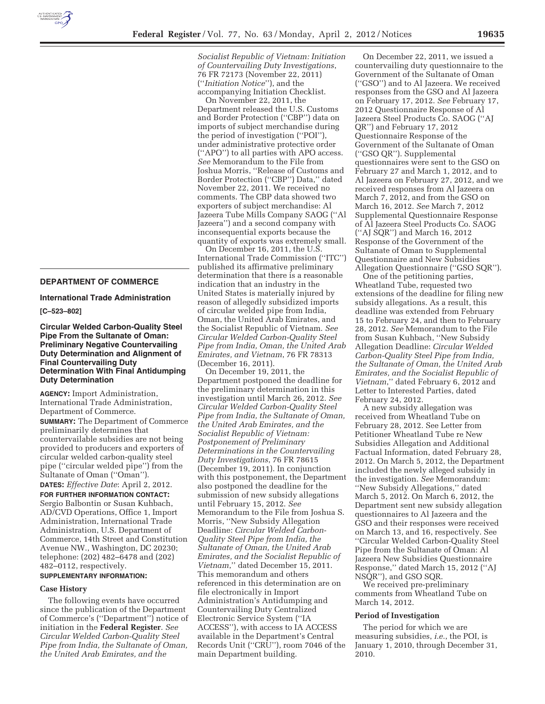

### **DEPARTMENT OF COMMERCE**

**International Trade Administration** 

**[C–523–802]** 

**Circular Welded Carbon-Quality Steel Pipe From the Sultanate of Oman: Preliminary Negative Countervailing Duty Determination and Alignment of Final Countervailing Duty Determination With Final Antidumping Duty Determination** 

**AGENCY:** Import Administration, International Trade Administration, Department of Commerce.

**SUMMARY:** The Department of Commerce preliminarily determines that countervailable subsidies are not being provided to producers and exporters of circular welded carbon-quality steel pipe (''circular welded pipe'') from the Sultanate of Oman (''Oman'').

**DATES:** *Effective Date*: April 2, 2012. **FOR FURTHER INFORMATION CONTACT:**  Sergio Balbontin or Susan Kuhbach, AD/CVD Operations, Office 1, Import Administration, International Trade Administration, U.S. Department of Commerce, 14th Street and Constitution Avenue NW., Washington, DC 20230; telephone: (202) 482–6478 and (202) 482–0112, respectively.

# **SUPPLEMENTARY INFORMATION:**

# **Case History**

The following events have occurred since the publication of the Department of Commerce's (''Department'') notice of initiation in the **Federal Register**. *See Circular Welded Carbon-Quality Steel Pipe from India, the Sultanate of Oman, the United Arab Emirates, and the* 

*Socialist Republic of Vietnam: Initiation of Countervailing Duty Investigations*, 76 FR 72173 (November 22, 2011) (''*Initiation Notice*''), and the accompanying Initiation Checklist.

On November 22, 2011, the Department released the U.S. Customs and Border Protection (''CBP'') data on imports of subject merchandise during the period of investigation (''POI''), under administrative protective order (''APO'') to all parties with APO access. *See* Memorandum to the File from Joshua Morris, ''Release of Customs and Border Protection (''CBP'') Data,'' dated November 22, 2011. We received no comments. The CBP data showed two exporters of subject merchandise: Al Jazeera Tube Mills Company SAOG (''Al Jazeera'') and a second company with inconsequential exports because the quantity of exports was extremely small.

On December 16, 2011, the U.S. International Trade Commission (''ITC'') published its affirmative preliminary determination that there is a reasonable indication that an industry in the United States is materially injured by reason of allegedly subsidized imports of circular welded pipe from India, Oman, the United Arab Emirates, and the Socialist Republic of Vietnam. *See Circular Welded Carbon-Quality Steel Pipe from India, Oman, the United Arab Emirates, and Vietnam*, 76 FR 78313 (December 16, 2011).

On December 19, 2011, the Department postponed the deadline for the preliminary determination in this investigation until March 26, 2012. *See Circular Welded Carbon-Quality Steel Pipe from India, the Sultanate of Oman, the United Arab Emirates, and the Socialist Republic of Vietnam: Postponement of Preliminary Determinations in the Countervailing Duty Investigations*, 76 FR 78615 (December 19, 2011). In conjunction with this postponement, the Department also postponed the deadline for the submission of new subsidy allegations until February 15, 2012. *See*  Memorandum to the File from Joshua S. Morris, ''New Subsidy Allegation Deadline: *Circular Welded Carbon-Quality Steel Pipe from India, the Sultanate of Oman, the United Arab Emirates, and the Socialist Republic of Vietnam*,'' dated December 15, 2011. This memorandum and others referenced in this determination are on file electronically in Import Administration's Antidumping and Countervailing Duty Centralized Electronic Service System (''IA ACCESS''), with access to IA ACCESS available in the Department's Central Records Unit (''CRU''), room 7046 of the main Department building.

On December 22, 2011, we issued a countervailing duty questionnaire to the Government of the Sultanate of Oman (''GSO'') and to Al Jazeera. We received responses from the GSO and Al Jazeera on February 17, 2012. *See* February 17, 2012 Questionnaire Response of Al Jazeera Steel Products Co. SAOG (''AJ QR'') and February 17, 2012 Questionnaire Response of the Government of the Sultanate of Oman (''GSO QR''). Supplemental questionnaires were sent to the GSO on February 27 and March 1, 2012, and to Al Jazeera on February 27, 2012, and we received responses from Al Jazeera on March 7, 2012, and from the GSO on March 16, 2012. *See* March 7, 2012 Supplemental Questionnaire Response of Al Jazeera Steel Products Co. SAOG (''AJ SQR'') and March 16, 2012 Response of the Government of the Sultanate of Oman to Supplemental Questionnaire and New Subsidies Allegation Questionnaire (''GSO SQR'').

One of the petitioning parties, Wheatland Tube, requested two extensions of the deadline for filing new subsidy allegations. As a result, this deadline was extended from February 15 to February 24, and then to February 28, 2012. *See* Memorandum to the File from Susan Kuhbach, ''New Subsidy Allegation Deadline: *Circular Welded Carbon-Quality Steel Pipe from India, the Sultanate of Oman, the United Arab Emirates, and the Socialist Republic of Vietnam*,'' dated February 6, 2012 and Letter to Interested Parties, dated February 24, 2012.

A new subsidy allegation was received from Wheatland Tube on February 28, 2012. See Letter from Petitioner Wheatland Tube re New Subsidies Allegation and Additional Factual Information, dated February 28, 2012. On March 5, 2012, the Department included the newly alleged subsidy in the investigation. *See* Memorandum: ''New Subsidy Allegations,'' dated March 5, 2012. On March 6, 2012, the Department sent new subsidy allegation questionnaires to Al Jazeera and the GSO and their responses were received on March 13, and 16, respectively. See ''Circular Welded Carbon-Quality Steel Pipe from the Sultanate of Oman: Al Jazeera New Subsidies Questionnaire Response,'' dated March 15, 2012 (''AJ NSQR''), and GSO SQR.

We received pre-preliminary comments from Wheatland Tube on March 14, 2012.

#### **Period of Investigation**

The period for which we are measuring subsidies, *i.e.*, the POI, is January 1, 2010, through December 31, 2010.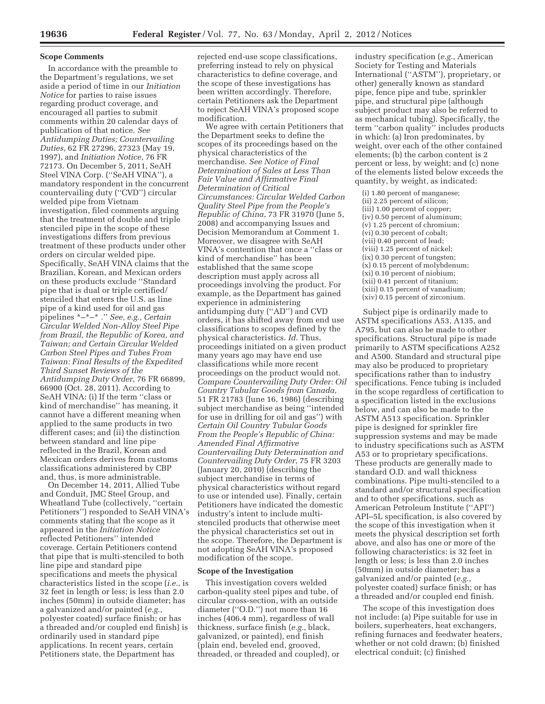#### **Scope Comments**

In accordance with the preamble to the Department's regulations, we set aside a period of time in our *Initiation Notice* for parties to raise issues regarding product coverage, and encouraged all parties to submit comments within 20 calendar days of publication of that notice. *See Antidumping Duties; Countervailing Duties*, 62 FR 27296, 27323 (May 19, 1997), and *Initiation Notice*, 76 FR 72173. On December 5, 2011, SeAH Steel VINA Corp. (''SeAH VINA''), a mandatory respondent in the concurrent countervailing duty (''CVD'') circular welded pipe from Vietnam investigation, filed comments arguing that the treatment of double and triple stenciled pipe in the scope of these investigations differs from previous treatment of these products under other orders on circular welded pipe. Specifically, SeAH VINA claims that the Brazilian, Korean, and Mexican orders on these products exclude ''Standard pipe that is dual or triple certified/ stenciled that enters the U.S. as line pipe of a kind used for oil and gas pipelines \*–\*–\* .'' *See, e.g., Certain Circular Welded Non-Alloy Steel Pipe from Brazil, the Republic of Korea, and Taiwan; and Certain Circular Welded Carbon Steel Pipes and Tubes From Taiwan: Final Results of the Expedited Third Sunset Reviews of the Antidumping Duty Order*, 76 FR 66899, 66900 (Oct. 28, 2011). According to SeAH VINA: (i) If the term ''class or kind of merchandise'' has meaning, it cannot have a different meaning when applied to the same products in two different cases; and (ii) the distinction between standard and line pipe reflected in the Brazil, Korean and Mexican orders derives from customs classifications administered by CBP and, thus, is more administrable.

On December 14, 2011, Allied Tube and Conduit, JMC Steel Group, and Wheatland Tube (collectively, ''certain Petitioners'') responded to SeAH VINA's comments stating that the scope as it appeared in the *Initiation Notice*  reflected Petitioners'' intended coverage. Certain Petitioners contend that pipe that is multi-stenciled to both line pipe and standard pipe specifications and meets the physical characteristics listed in the scope (*i.e.*, is 32 feet in length or less; is less than 2.0 inches (50mm) in outside diameter; has a galvanized and/or painted (*e.g.*, polyester coated) surface finish; or has a threaded and/or coupled end finish) is ordinarily used in standard pipe applications. In recent years, certain Petitioners state, the Department has

rejected end-use scope classifications, preferring instead to rely on physical characteristics to define coverage, and the scope of these investigations has been written accordingly. Therefore, certain Petitioners ask the Department to reject SeAH VINA's proposed scope modification.

We agree with certain Petitioners that the Department seeks to define the scopes of its proceedings based on the physical characteristics of the merchandise. *See Notice of Final Determination of Sales at Less Than Fair Value and Affirmative Final Determination of Critical Circumstances: Circular Welded Carbon Quality Steel Pipe from the People's Republic of China*, 73 FR 31970 (June 5, 2008) and accompanying Issues and Decision Memorandum at Comment 1. Moreover, we disagree with SeAH VINA's contention that once a ''class or kind of merchandise'' has been established that the same scope description must apply across all proceedings involving the product. For example, as the Department has gained experience in administering antidumping duty (''AD'') and CVD orders, it has shifted away from end use classifications to scopes defined by the physical characteristics. *Id*. Thus, proceedings initiated on a given product many years ago may have end use classifications while more recent proceedings on the product would not. *Compare Countervailing Duty Order: Oil Country Tubular Goods from Canada*, 51 FR 21783 (June 16, 1986) (describing subject merchandise as being ''intended for use in drilling for oil and gas'') with *Certain Oil Country Tubular Goods From the People's Republic of China: Amended Final Affirmative Countervailing Duty Determination and Countervailing Duty Order*, 75 FR 3203 (January 20, 2010) (describing the subject merchandise in terms of physical characteristics without regard to use or intended use). Finally, certain Petitioners have indicated the domestic industry's intent to include multistenciled products that otherwise meet the physical characteristics set out in the scope. Therefore, the Department is not adopting SeAH VINA's proposed modification of the scope.

### **Scope of the Investigation**

This investigation covers welded carbon-quality steel pipes and tube, of circular cross-section, with an outside diameter (''O.D.'') not more than 16 inches (406.4 mm), regardless of wall thickness, surface finish (*e.g.*, black, galvanized, or painted), end finish (plain end, beveled end, grooved, threaded, or threaded and coupled), or

industry specification (*e.g.*, American Society for Testing and Materials International (''ASTM''), proprietary, or other) generally known as standard pipe, fence pipe and tube, sprinkler pipe, and structural pipe (although subject product may also be referred to as mechanical tubing). Specifically, the term ''carbon quality'' includes products in which: (a) Iron predominates, by weight, over each of the other contained elements; (b) the carbon content is 2 percent or less, by weight; and (c) none of the elements listed below exceeds the quantity, by weight, as indicated:

(i) 1.80 percent of manganese; (ii) 2.25 percent of silicon; (iii) 1.00 percent of copper; (iv) 0.50 percent of aluminum; (v) 1.25 percent of chromium; (vi) 0.30 percent of cobalt; (vii) 0.40 percent of lead; (viii) 1.25 percent of nickel; (ix) 0.30 percent of tungsten; (x) 0.15 percent of molybdenum; (xi) 0.10 percent of niobium; (xii) 0.41 percent of titanium; (xiii) 0.15 percent of vanadium; (xiv) 0.15 percent of zirconium.

Subject pipe is ordinarily made to ASTM specifications A53, A135, and A795, but can also be made to other specifications. Structural pipe is made primarily to ASTM specifications A252 and A500. Standard and structural pipe may also be produced to proprietary specifications rather than to industry specifications. Fence tubing is included in the scope regardless of certification to a specification listed in the exclusions below, and can also be made to the ASTM A513 specification. Sprinkler pipe is designed for sprinkler fire suppression systems and may be made to industry specifications such as ASTM A53 or to proprietary specifications. These products are generally made to standard O.D. and wall thickness combinations. Pipe multi-stenciled to a standard and/or structural specification and to other specifications, such as American Petroleum Institute (''API'') API–5L specification, is also covered by the scope of this investigation when it meets the physical description set forth above, and also has one or more of the following characteristics: is 32 feet in length or less; is less than 2.0 inches (50mm) in outside diameter; has a galvanized and/or painted (*e.g.*, polyester coated) surface finish; or has a threaded and/or coupled end finish.

The scope of this investigation does not include: (a) Pipe suitable for use in boilers, superheaters, heat exchangers, refining furnaces and feedwater heaters, whether or not cold drawn; (b) finished electrical conduit; (c) finished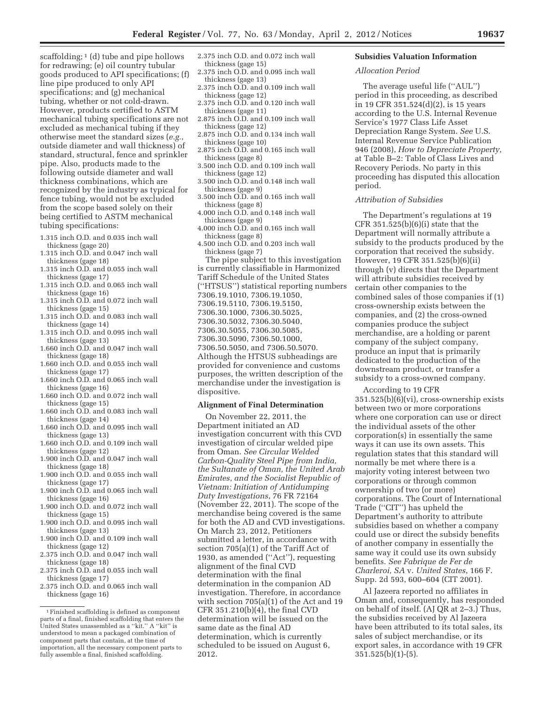scaffolding;  $1$  (d) tube and pipe hollows for redrawing; (e) oil country tubular goods produced to API specifications; (f) line pipe produced to only API specifications; and (g) mechanical tubing, whether or not cold-drawn. However, products certified to ASTM mechanical tubing specifications are not excluded as mechanical tubing if they otherwise meet the standard sizes (*e.g.*, outside diameter and wall thickness) of standard, structural, fence and sprinkler pipe. Also, products made to the following outside diameter and wall thickness combinations, which are

- recognized by the industry as typical for fence tubing, would not be excluded from the scope based solely on their being certified to ASTM mechanical tubing specifications:
- 1.315 inch O.D. and 0.035 inch wall thickness (gage 20)
- 1.315 inch O.D. and 0.047 inch wall thickness (gage 18)
- 1.315 inch O.D. and 0.055 inch wall thickness (gage 17)
- 1.315 inch O.D. and 0.065 inch wall thickness (gage 16)
- 1.315 inch O.D. and 0.072 inch wall thickness (gage 15)
- 1.315 inch O.D. and 0.083 inch wall thickness (gage 14)
- 1.315 inch O.D. and 0.095 inch wall thickness (gage 13)
- 1.660 inch O.D. and 0.047 inch wall thickness (gage 18)
- 1.660 inch O.D. and 0.055 inch wall thickness (gage 17)
- 1.660 inch O.D. and 0.065 inch wall thickness (gage 16)
- 1.660 inch O.D. and 0.072 inch wall thickness (gage 15)
- 1.660 inch O.D. and 0.083 inch wall thickness (gage 14)
- 1.660 inch O.D. and 0.095 inch wall thickness (gage 13)
- 1.660 inch O.D. and 0.109 inch wall thickness (gage 12)
- 1.900 inch O.D. and 0.047 inch wall thickness (gage 18)
- 1.900 inch O.D. and 0.055 inch wall thickness (gage 17)
- 1.900 inch O.D. and 0.065 inch wall thickness (gage 16)
- 1.900 inch O.D. and 0.072 inch wall thickness (gage 15)
- 1.900 inch O.D. and 0.095 inch wall thickness (gage 13)
- 1.900 inch O.D. and 0.109 inch wall thickness (gage 12)
- 2.375 inch O.D. and 0.047 inch wall thickness (gage 18)
- 2.375 inch O.D. and 0.055 inch wall thickness (gage 17)
- 2.375 inch O.D. and 0.065 inch wall thickness (gage 16)
- 2.375 inch O.D. and 0.072 inch wall thickness (gage 15)
- 2.375 inch O.D. and 0.095 inch wall thickness (gage 13)
- 2.375 inch O.D. and 0.109 inch wall thickness (gage 12)
- 2.375 inch O.D. and 0.120 inch wall thickness (gage 11)
- 2.875 inch O.D. and 0.109 inch wall thickness (gage 12)
- 2.875 inch O.D. and 0.134 inch wall thickness (gage 10)
- 2.875 inch O.D. and 0.165 inch wall thickness (gage 8)
- 3.500 inch O.D. and 0.109 inch wall thickness (gage 12)
- 3.500 inch O.D. and 0.148 inch wall thickness (gage 9)
- 3.500 inch O.D. and 0.165 inch wall thickness (gage 8)
- 4.000 inch O.D. and 0.148 inch wall thickness (gage 9)
- 4.000 inch O.D. and 0.165 inch wall thickness (gage 8)
- 4.500 inch O.D. and 0.203 inch wall thickness (gage 7)

The pipe subject to this investigation is currently classifiable in Harmonized Tariff Schedule of the United States (''HTSUS'') statistical reporting numbers 7306.19.1010, 7306.19.1050, 7306.19.5110, 7306.19.5150, 7306.30.1000, 7306.30.5025, 7306.30.5032, 7306.30.5040, 7306.30.5055, 7306.30.5085, 7306.30.5090, 7306.50.1000, 7306.50.5050, and 7306.50.5070. Although the HTSUS subheadings are provided for convenience and customs purposes, the written description of the merchandise under the investigation is dispositive.

# **Alignment of Final Determination**

On November 22, 2011, the Department initiated an AD investigation concurrent with this CVD investigation of circular welded pipe from Oman. *See Circular Welded Carbon-Quality Steel Pipe from India, the Sultanate of Oman, the United Arab Emirates, and the Socialist Republic of Vietnam: Initiation of Antidumping Duty Investigations*, 76 FR 72164 (November 22, 2011). The scope of the merchandise being covered is the same for both the AD and CVD investigations. On March 23, 2012, Petitioners submitted a letter, in accordance with section 705(a)(1) of the Tariff Act of 1930, as amended (''Act''), requesting alignment of the final CVD determination with the final determination in the companion AD investigation. Therefore, in accordance with section 705(a)(1) of the Act and 19 CFR 351.210(b)(4), the final CVD determination will be issued on the same date as the final AD determination, which is currently scheduled to be issued on August 6, 2012.

# **Subsidies Valuation Information**

# *Allocation Period*

The average useful life (''AUL'') period in this proceeding, as described in 19 CFR 351.524(d)(2), is 15 years according to the U.S. Internal Revenue Service's 1977 Class Life Asset Depreciation Range System. *See* U.S. Internal Revenue Service Publication 946 (2008), *How to Depreciate Property*, at Table B–2: Table of Class Lives and Recovery Periods. No party in this proceeding has disputed this allocation period.

### *Attribution of Subsidies*

The Department's regulations at 19 CFR  $351.525(b)(6)(i)$  state that the Department will normally attribute a subsidy to the products produced by the corporation that received the subsidy. However, 19 CFR 351.525(b)(6)(ii) through (v) directs that the Department will attribute subsidies received by certain other companies to the combined sales of those companies if (1) cross-ownership exists between the companies, and (2) the cross-owned companies produce the subject merchandise, are a holding or parent company of the subject company, produce an input that is primarily dedicated to the production of the downstream product, or transfer a subsidy to a cross-owned company.

According to 19 CFR 351.525(b)(6)(vi), cross-ownership exists between two or more corporations where one corporation can use or direct the individual assets of the other corporation(s) in essentially the same ways it can use its own assets. This regulation states that this standard will normally be met where there is a majority voting interest between two corporations or through common ownership of two (or more) corporations. The Court of International Trade (''CIT'') has upheld the Department's authority to attribute subsidies based on whether a company could use or direct the subsidy benefits of another company in essentially the same way it could use its own subsidy benefits. *See Fabrique de Fer de Charleroi, SA* v. *United States*, 166 F. Supp. 2d 593, 600–604 (CIT 2001).

Al Jazeera reported no affiliates in Oman and, consequently, has responded on behalf of itself. (AJ QR at 2–3.) Thus, the subsidies received by Al Jazeera have been attributed to its total sales, its sales of subject merchandise, or its export sales, in accordance with 19 CFR 351.525(b)(1)-(5).

<sup>1</sup>Finished scaffolding is defined as component parts of a final, finished scaffolding that enters the United States unassembled as a ''kit.'' A ''kit'' is understood to mean a packaged combination of component parts that contain, at the time of importation, all the necessary component parts to fully assemble a final, finished scaffolding.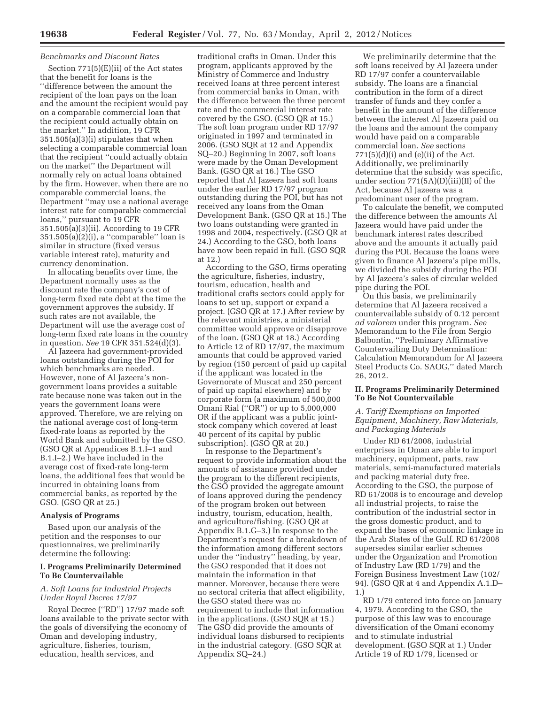# *Benchmarks and Discount Rates*

Section 771(5)(E)(ii) of the Act states that the benefit for loans is the ''difference between the amount the recipient of the loan pays on the loan and the amount the recipient would pay on a comparable commercial loan that the recipient could actually obtain on the market.'' In addition, 19 CFR 351.505(a)(3)(i) stipulates that when selecting a comparable commercial loan that the recipient ''could actually obtain on the market'' the Department will normally rely on actual loans obtained by the firm. However, when there are no comparable commercial loans, the Department ''may use a national average interest rate for comparable commercial loans,'' pursuant to 19 CFR 351.505(a)(3)(ii). According to 19 CFR 351.505(a)(2)(i), a ''comparable'' loan is similar in structure (fixed versus variable interest rate), maturity and currency denomination.

In allocating benefits over time, the Department normally uses as the discount rate the company's cost of long-term fixed rate debt at the time the government approves the subsidy. If such rates are not available, the Department will use the average cost of long-term fixed rate loans in the country in question. *See* 19 CFR 351.524(d)(3).

Al Jazeera had government-provided loans outstanding during the POI for which benchmarks are needed. However, none of Al Jazeera's nongovernment loans provides a suitable rate because none was taken out in the years the government loans were approved. Therefore, we are relying on the national average cost of long-term fixed-rate loans as reported by the World Bank and submitted by the GSO. (GSO QR at Appendices B.1.I–1 and B.1.I–2.) We have included in the average cost of fixed-rate long-term loans, the additional fees that would be incurred in obtaining loans from commercial banks, as reported by the GSO. (GSO QR at 25.)

#### **Analysis of Programs**

Based upon our analysis of the petition and the responses to our questionnaires, we preliminarily determine the following:

#### **I. Programs Preliminarily Determined To Be Countervailable**

### *A. Soft Loans for Industrial Projects Under Royal Decree 17/97*

Royal Decree (''RD'') 17/97 made soft loans available to the private sector with the goals of diversifying the economy of Oman and developing industry, agriculture, fisheries, tourism, education, health services, and

traditional crafts in Oman. Under this program, applicants approved by the Ministry of Commerce and Industry received loans at three percent interest from commercial banks in Oman, with the difference between the three percent rate and the commercial interest rate covered by the GSO. (GSO QR at 15.) The soft loan program under RD 17/97 originated in 1997 and terminated in 2006. (GSO SQR at 12 and Appendix SQ–20.) Beginning in 2007, soft loans were made by the Oman Development Bank. (GSO QR at 16.) The GSO reported that Al Jazeera had soft loans under the earlier RD 17/97 program outstanding during the POI, but has not received any loans from the Oman Development Bank. (GSO QR at 15.) The two loans outstanding were granted in 1998 and 2004, respectively. (GSO QR at 24.) According to the GSO, both loans have now been repaid in full. (GSO SQR at 12.)

According to the GSO, firms operating the agriculture, fisheries, industry, tourism, education, health and traditional crafts sectors could apply for loans to set up, support or expand a project. (GSO QR at 17.) After review by the relevant ministries, a ministerial committee would approve or disapprove of the loan. (GSO QR at 18.) According to Article 12 of RD 17/97, the maximum amounts that could be approved varied by region (150 percent of paid up capital if the applicant was located in the Governorate of Muscat and 250 percent of paid up capital elsewhere) and by corporate form (a maximum of 500,000 Omani Rial (''OR'') or up to 5,000,000 OR if the applicant was a public jointstock company which covered at least 40 percent of its capital by public subscription). (GSO QR at 20.)

In response to the Department's request to provide information about the amounts of assistance provided under the program to the different recipients, the GSO provided the aggregate amount of loans approved during the pendency of the program broken out between industry, tourism, education, health, and agriculture/fishing. (GSO QR at Appendix B.1.G–3.) In response to the Department's request for a breakdown of the information among different sectors under the ''industry'' heading, by year, the GSO responded that it does not maintain the information in that manner. Moreover, because there were no sectoral criteria that affect eligibility, the GSO stated there was no requirement to include that information in the applications. (GSO SQR at 15.) The GSO did provide the amounts of individual loans disbursed to recipients in the industrial category. (GSO SQR at Appendix SQ–24.)

We preliminarily determine that the soft loans received by Al Jazeera under RD 17/97 confer a countervailable subsidy. The loans are a financial contribution in the form of a direct transfer of funds and they confer a benefit in the amount of the difference between the interest Al Jazeera paid on the loans and the amount the company would have paid on a comparable commercial loan. *See* sections  $771(5)(d)(i)$  and  $(e)(ii)$  of the Act. Additionally, we preliminarily determine that the subsidy was specific, under section 771(5A)(D)(iii)(II) of the Act, because Al Jazeera was a predominant user of the program.

To calculate the benefit, we computed the difference between the amounts Al Jazeera would have paid under the benchmark interest rates described above and the amounts it actually paid during the POI. Because the loans were given to finance Al Jazeera's pipe mills, we divided the subsidy during the POI by Al Jazeera's sales of circular welded pipe during the POI.

On this basis, we preliminarily determine that Al Jazeera received a countervailable subsidy of 0.12 percent *ad valorem* under this program. *See*  Memorandum to the File from Sergio Balbontin, ''Preliminary Affirmative Countervailing Duty Determination: Calculation Memorandum for Al Jazeera Steel Products Co. SAOG,'' dated March 26, 2012.

### **II. Programs Preliminarily Determined To Be Not Countervailable**

# *A. Tariff Exemptions on Imported Equipment, Machinery, Raw Materials, and Packaging Materials*

Under RD 61/2008, industrial enterprises in Oman are able to import machinery, equipment, parts, raw materials, semi-manufactured materials and packing material duty free. According to the GSO, the purpose of RD 61/2008 is to encourage and develop all industrial projects, to raise the contribution of the industrial sector in the gross domestic product, and to expand the bases of economic linkage in the Arab States of the Gulf. RD 61/2008 supersedes similar earlier schemes under the Organization and Promotion of Industry Law (RD 1/79) and the Foreign Business Investment Law (102/ 94). (GSO QR at 4 and Appendix A.1.D– 1.)

RD 1/79 entered into force on January 4, 1979. According to the GSO, the purpose of this law was to encourage diversification of the Omani economy and to stimulate industrial development. (GSO SQR at 1.) Under Article 19 of RD 1/79, licensed or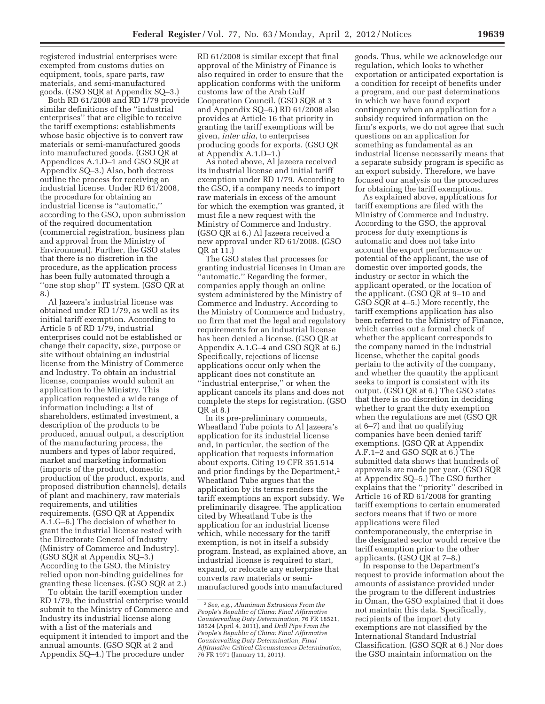registered industrial enterprises were exempted from customs duties on equipment, tools, spare parts, raw materials, and semi-manufactured goods. (GSO SQR at Appendix SQ–3.)

Both RD 61/2008 and RD 1/79 provide similar definitions of the ''industrial enterprises'' that are eligible to receive the tariff exemptions: establishments whose basic objective is to convert raw materials or semi-manufactured goods into manufactured goods. (GSO QR at Appendices A.1.D–1 and GSO SQR at Appendix SQ–3.) Also, both decrees outline the process for receiving an industrial license. Under RD 61/2008, the procedure for obtaining an industrial license is ''automatic,'' according to the GSO, upon submission of the required documentation (commercial registration, business plan and approval from the Ministry of Environment). Further, the GSO states that there is no discretion in the procedure, as the application process has been fully automated through a ''one stop shop'' IT system. (GSO QR at 8.)

Al Jazeera's industrial license was obtained under RD 1/79, as well as its initial tariff exemption. According to Article 5 of RD 1/79, industrial enterprises could not be established or change their capacity, size, purpose or site without obtaining an industrial license from the Ministry of Commerce and Industry. To obtain an industrial license, companies would submit an application to the Ministry. This application requested a wide range of information including: a list of shareholders, estimated investment, a description of the products to be produced, annual output, a description of the manufacturing process, the numbers and types of labor required, market and marketing information (imports of the product, domestic production of the product, exports, and proposed distribution channels), details of plant and machinery, raw materials requirements, and utilities requirements. (GSO QR at Appendix A.1.G–6.) The decision of whether to grant the industrial license rested with the Directorate General of Industry (Ministry of Commerce and Industry). (GSO SQR at Appendix SQ–3.) According to the GSO, the Ministry relied upon non-binding guidelines for granting these licenses. (GSO SQR at 2.)

To obtain the tariff exemption under RD 1/79, the industrial enterprise would submit to the Ministry of Commerce and Industry its industrial license along with a list of the materials and equipment it intended to import and the annual amounts. (GSO SQR at 2 and Appendix SQ–4.) The procedure under

RD 61/2008 is similar except that final approval of the Ministry of Finance is also required in order to ensure that the application conforms with the uniform customs law of the Arab Gulf Cooperation Council. (GSO SQR at 3 and Appendix SQ–6.) RD 61/2008 also provides at Article 16 that priority in granting the tariff exemptions will be given, *inter alia*, to enterprises producing goods for exports. (GSO QR at Appendix A.1.D–1.)

As noted above, Al Jazeera received its industrial license and initial tariff exemption under RD 1/79. According to the GSO, if a company needs to import raw materials in excess of the amount for which the exemption was granted, it must file a new request with the Ministry of Commerce and Industry. (GSO QR at 6.) Al Jazeera received a new approval under RD 61/2008. (GSO QR at 11.)

The GSO states that processes for granting industrial licenses in Oman are 'automatic." Regarding the former, companies apply though an online system administered by the Ministry of Commerce and Industry. According to the Ministry of Commerce and Industry, no firm that met the legal and regulatory requirements for an industrial license has been denied a license. (GSO QR at Appendix A.1.G–4 and GSO SQR at 6.) Specifically, rejections of license applications occur only when the applicant does not constitute an ''industrial enterprise,'' or when the applicant cancels its plans and does not complete the steps for registration. (GSO QR at 8.)

In its pre-preliminary comments, Wheatland Tube points to Al Jazeera's application for its industrial license and, in particular, the section of the application that requests information about exports. Citing 19 CFR 351.514 and prior findings by the Department,<sup>2</sup> Wheatland Tube argues that the application by its terms renders the tariff exemptions an export subsidy. We preliminarily disagree. The application cited by Wheatland Tube is the application for an industrial license which, while necessary for the tariff exemption, is not in itself a subsidy program. Instead, as explained above, an industrial license is required to start, expand, or relocate any enterprise that converts raw materials or semimanufactured goods into manufactured

goods. Thus, while we acknowledge our regulation, which looks to whether exportation or anticipated exportation is a condition for receipt of benefits under a program, and our past determinations in which we have found export contingency when an application for a subsidy required information on the firm's exports, we do not agree that such questions on an application for something as fundamental as an industrial license necessarily means that a separate subsidy program is specific as an export subsidy. Therefore, we have focused our analysis on the procedures for obtaining the tariff exemptions.

As explained above, applications for tariff exemptions are filed with the Ministry of Commerce and Industry. According to the GSO, the approval process for duty exemptions is automatic and does not take into account the export performance or potential of the applicant, the use of domestic over imported goods, the industry or sector in which the applicant operated, or the location of the applicant. (GSO QR at 9–10 and GSO SQR at 4–5.) More recently, the tariff exemptions application has also been referred to the Ministry of Finance, which carries out a formal check of whether the applicant corresponds to the company named in the industrial license, whether the capital goods pertain to the activity of the company, and whether the quantity the applicant seeks to import is consistent with its output. (GSO QR at 6.) The GSO states that there is no discretion in deciding whether to grant the duty exemption when the regulations are met (GSO QR at 6–7) and that no qualifying companies have been denied tariff exemptions. (GSO QR at Appendix A.F.1–2 and GSO SQR at 6.) The submitted data shows that hundreds of approvals are made per year. (GSO SQR at Appendix SQ–5.) The GSO further explains that the ''priority'' described in Article 16 of RD 61/2008 for granting tariff exemptions to certain enumerated sectors means that if two or more applications were filed contemporaneously, the enterprise in the designated sector would receive the tariff exemption prior to the other applicants. (GSO QR at 7–8.)

In response to the Department's request to provide information about the amounts of assistance provided under the program to the different industries in Oman, the GSO explained that it does not maintain this data. Specifically, recipients of the import duty exemptions are not classified by the International Standard Industrial Classification. (GSO SQR at 6.) Nor does the GSO maintain information on the

<sup>2</sup>*See, e.g.*, *Aluminum Extrusions From the People's Republic of China: Final Affirmative Countervailing Duty Determination*, 76 FR 18521, 18524 (April 4, 2011), and *Drill Pipe From the People's Republic of China: Final Affirmative Countervailing Duty Determination, Final Affirmative Critical Circumstances Determination*, 76 FR 1971 (January 11, 2011).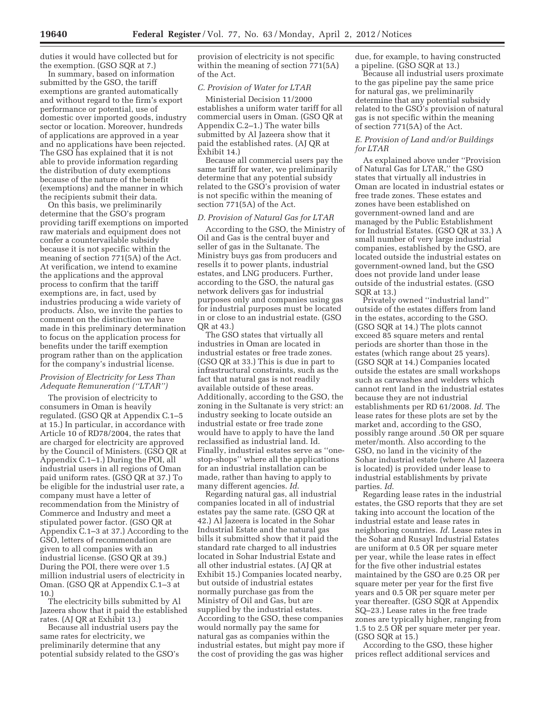duties it would have collected but for the exemption. (GSO SQR at 7.)

In summary, based on information submitted by the GSO, the tariff exemptions are granted automatically and without regard to the firm's export performance or potential, use of domestic over imported goods, industry sector or location. Moreover, hundreds of applications are approved in a year and no applications have been rejected. The GSO has explained that it is not able to provide information regarding the distribution of duty exemptions because of the nature of the benefit (exemptions) and the manner in which the recipients submit their data.

On this basis, we preliminarily determine that the GSO's program providing tariff exemptions on imported raw materials and equipment does not confer a countervailable subsidy because it is not specific within the meaning of section 771(5A) of the Act. At verification, we intend to examine the applications and the approval process to confirm that the tariff exemptions are, in fact, used by industries producing a wide variety of products. Also, we invite the parties to comment on the distinction we have made in this preliminary determination to focus on the application process for benefits under the tariff exemption program rather than on the application for the company's industrial license.

#### *Provision of Electricity for Less Than Adequate Remuneration (''LTAR'')*

The provision of electricity to consumers in Oman is heavily regulated. (GSO QR at Appendix C.1–5 at 15.) In particular, in accordance with Article 10 of RD78/2004, the rates that are charged for electricity are approved by the Council of Ministers. (GSO QR at Appendix C.1–1.) During the POI, all industrial users in all regions of Oman paid uniform rates. (GSO QR at 37.) To be eligible for the industrial user rate, a company must have a letter of recommendation from the Ministry of Commerce and Industry and meet a stipulated power factor. (GSO QR at Appendix C.1–3 at 37.) According to the GSO, letters of recommendation are given to all companies with an industrial license. (GSO QR at 39.) During the POI, there were over 1.5 million industrial users of electricity in Oman. (GSO QR at Appendix C.1–3 at 10.)

The electricity bills submitted by Al Jazeera show that it paid the established rates. (AJ QR at Exhibit 13.)

Because all industrial users pay the same rates for electricity, we preliminarily determine that any potential subsidy related to the GSO's provision of electricity is not specific within the meaning of section 771(5A) of the Act.

# *C. Provision of Water for LTAR*

Ministerial Decision 11/2000 establishes a uniform water tariff for all commercial users in Oman. (GSO QR at Appendix C.2–1.) The water bills submitted by Al Jazeera show that it paid the established rates. (AJ QR at Exhibit 14.)

Because all commercial users pay the same tariff for water, we preliminarily determine that any potential subsidy related to the GSO's provision of water is not specific within the meaning of section 771(5A) of the Act.

#### *D. Provision of Natural Gas for LTAR*

According to the GSO, the Ministry of Oil and Gas is the central buyer and seller of gas in the Sultanate. The Ministry buys gas from producers and resells it to power plants, industrial estates, and LNG producers. Further, according to the GSO, the natural gas network delivers gas for industrial purposes only and companies using gas for industrial purposes must be located in or close to an industrial estate. (GSO QR at 43.)

The GSO states that virtually all industries in Oman are located in industrial estates or free trade zones. (GSO QR at 33.) This is due in part to infrastructural constraints, such as the fact that natural gas is not readily available outside of these areas. Additionally, according to the GSO, the zoning in the Sultanate is very strict: an industry seeking to locate outside an industrial estate or free trade zone would have to apply to have the land reclassified as industrial land. Id. Finally, industrial estates serve as ''onestop-shops'' where all the applications for an industrial installation can be made, rather than having to apply to many different agencies. *Id*.

Regarding natural gas, all industrial companies located in all of industrial estates pay the same rate. (GSO QR at 42.) Al Jazeera is located in the Sohar Industrial Estate and the natural gas bills it submitted show that it paid the standard rate charged to all industries located in Sohar Industrial Estate and all other industrial estates. (AJ QR at Exhibit 15.) Companies located nearby, but outside of industrial estates normally purchase gas from the Ministry of Oil and Gas, but are supplied by the industrial estates. According to the GSO, these companies would normally pay the same for natural gas as companies within the industrial estates, but might pay more if the cost of providing the gas was higher

due, for example, to having constructed a pipeline. (GSO SQR at 13.)

Because all industrial users proximate to the gas pipeline pay the same price for natural gas, we preliminarily determine that any potential subsidy related to the GSO's provision of natural gas is not specific within the meaning of section 771(5A) of the Act.

# *E. Provision of Land and/or Buildings for LTAR*

As explained above under ''Provision of Natural Gas for LTAR,'' the GSO states that virtually all industries in Oman are located in industrial estates or free trade zones. These estates and zones have been established on government-owned land and are managed by the Public Establishment for Industrial Estates. (GSO QR at 33.) A small number of very large industrial companies, established by the GSO, are located outside the industrial estates on government-owned land, but the GSO does not provide land under lease outside of the industrial estates. (GSO SQR at 13.)

Privately owned ''industrial land'' outside of the estates differs from land in the estates, according to the GSO. (GSO SQR at 14.) The plots cannot exceed 85 square meters and rental periods are shorter than those in the estates (which range about 25 years). (GSO SQR at 14.) Companies located outside the estates are small workshops such as carwashes and welders which cannot rent land in the industrial estates because they are not industrial establishments per RD 61/2008. *Id*. The lease rates for these plots are set by the market and, according to the GSO, possibly range around .50 OR per square meter/month. Also according to the GSO, no land in the vicinity of the Sohar industrial estate (where Al Jazeera is located) is provided under lease to industrial establishments by private parties. *Id*.

Regarding lease rates in the industrial estates, the GSO reports that they are set taking into account the location of the industrial estate and lease rates in neighboring countries. *Id*. Lease rates in the Sohar and Rusayl Industrial Estates are uniform at 0.5 OR per square meter per year, while the lease rates in effect for the five other industrial estates maintained by the GSO are 0.25 OR per square meter per year for the first five years and 0.5 OR per square meter per year thereafter. (GSO SQR at Appendix SQ–23.) Lease rates in the free trade zones are typically higher, ranging from 1.5 to 2.5 OR per square meter per year. (GSO SQR at 15.)

According to the GSO, these higher prices reflect additional services and